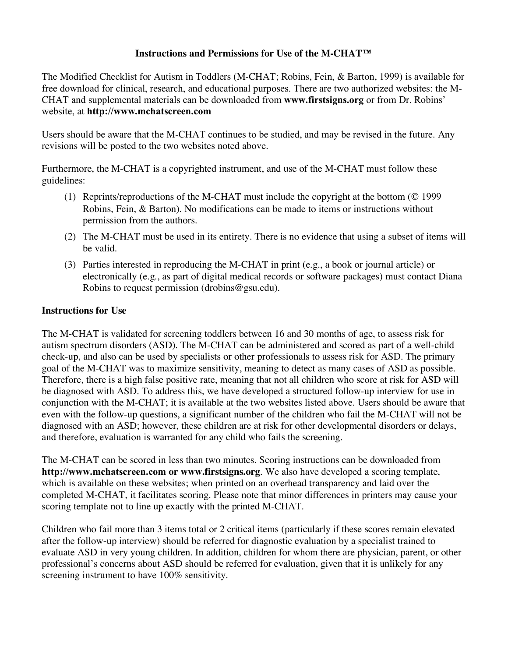## **Instructions and Permissions for Use of the M-CHAT™**

The Modified Checklist for Autism in Toddlers (M-CHAT; Robins, Fein, & Barton, 1999) is available for free download for clinical, research, and educational purposes. There are two authorized websites: the M-CHAT and supplemental materials can be downloaded from **www.firstsigns.org** or from Dr. Robins' website, at **http://www.mchatscreen.com**

Users should be aware that the M-CHAT continues to be studied, and may be revised in the future. Any revisions will be posted to the two websites noted above.

Furthermore, the M-CHAT is a copyrighted instrument, and use of the M-CHAT must follow these guidelines:

- (1) Reprints/reproductions of the M-CHAT must include the copyright at the bottom  $\circ$  1999 Robins, Fein, & Barton). No modifications can be made to items or instructions without permission from the authors.
- (2) The M-CHAT must be used in its entirety. There is no evidence that using a subset of items will be valid.
- (3) Parties interested in reproducing the M-CHAT in print (e.g., a book or journal article) or electronically (e.g., as part of digital medical records or software packages) must contact Diana Robins to request permission (drobins@gsu.edu).

## **Instructions for Use**

The M-CHAT is validated for screening toddlers between 16 and 30 months of age, to assess risk for autism spectrum disorders (ASD). The M-CHAT can be administered and scored as part of a well-child check-up, and also can be used by specialists or other professionals to assess risk for ASD. The primary goal of the M-CHAT was to maximize sensitivity, meaning to detect as many cases of ASD as possible. Therefore, there is a high false positive rate, meaning that not all children who score at risk for ASD will be diagnosed with ASD. To address this, we have developed a structured follow-up interview for use in conjunction with the M-CHAT; it is available at the two websites listed above. Users should be aware that even with the follow-up questions, a significant number of the children who fail the M-CHAT will not be diagnosed with an ASD; however, these children are at risk for other developmental disorders or delays, and therefore, evaluation is warranted for any child who fails the screening.

The M-CHAT can be scored in less than two minutes. Scoring instructions can be downloaded from **http://www.mchatscreen.com or www.firstsigns.org**. We also have developed a scoring template, which is available on these websites; when printed on an overhead transparency and laid over the completed M-CHAT, it facilitates scoring. Please note that minor differences in printers may cause your scoring template not to line up exactly with the printed M-CHAT.

Children who fail more than 3 items total or 2 critical items (particularly if these scores remain elevated after the follow-up interview) should be referred for diagnostic evaluation by a specialist trained to evaluate ASD in very young children. In addition, children for whom there are physician, parent, or other professional's concerns about ASD should be referred for evaluation, given that it is unlikely for any screening instrument to have 100% sensitivity.